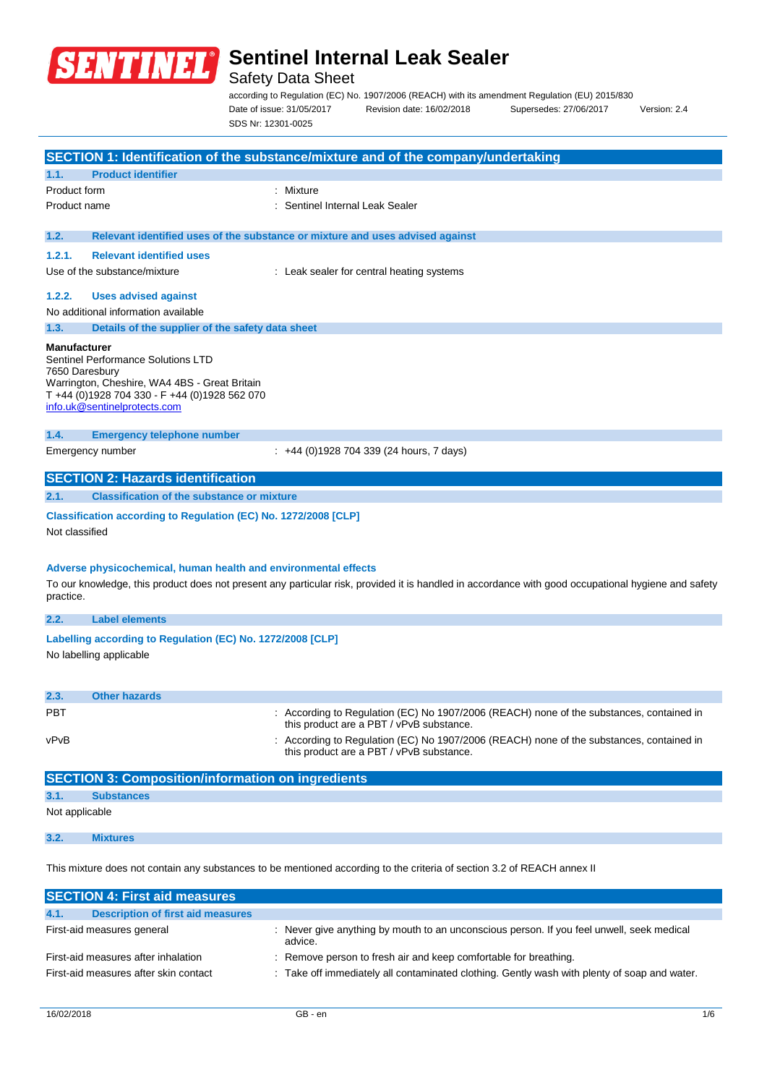

## Safety Data Sheet

according to Regulation (EC) No. 1907/2006 (REACH) with its amendment Regulation (EU) 2015/830 Date of issue: 31/05/2017 Revision date: 16/02/2018 Supersedes: 27/06/2017 Version: 2.4 SDS Nr: 12301-0025

|                                       |                                                                                                                                                                      | SECTION 1: Identification of the substance/mixture and of the company/undertaking                                                                   |
|---------------------------------------|----------------------------------------------------------------------------------------------------------------------------------------------------------------------|-----------------------------------------------------------------------------------------------------------------------------------------------------|
| 1.1.                                  | <b>Product identifier</b>                                                                                                                                            |                                                                                                                                                     |
| Product form                          |                                                                                                                                                                      | : Mixture                                                                                                                                           |
| Product name                          |                                                                                                                                                                      | Sentinel Internal Leak Sealer                                                                                                                       |
| 1.2.                                  |                                                                                                                                                                      | Relevant identified uses of the substance or mixture and uses advised against                                                                       |
| 1.2.1.                                | <b>Relevant identified uses</b>                                                                                                                                      |                                                                                                                                                     |
|                                       | Use of the substance/mixture                                                                                                                                         | : Leak sealer for central heating systems                                                                                                           |
| 1.2.2.                                | <b>Uses advised against</b>                                                                                                                                          |                                                                                                                                                     |
|                                       | No additional information available                                                                                                                                  |                                                                                                                                                     |
| 1.3.                                  | Details of the supplier of the safety data sheet                                                                                                                     |                                                                                                                                                     |
| <b>Manufacturer</b><br>7650 Daresbury | Sentinel Performance Solutions LTD<br>Warrington, Cheshire, WA4 4BS - Great Britain<br>T +44 (0)1928 704 330 - F +44 (0)1928 562 070<br>info.uk@sentinelprotects.com |                                                                                                                                                     |
| 1.4.                                  | <b>Emergency telephone number</b>                                                                                                                                    |                                                                                                                                                     |
|                                       | Emergency number                                                                                                                                                     | $\pm$ +44 (0)1928 704 339 (24 hours, 7 days)                                                                                                        |
|                                       | <b>SECTION 2: Hazards identification</b>                                                                                                                             |                                                                                                                                                     |
| 2.1.                                  | <b>Classification of the substance or mixture</b>                                                                                                                    |                                                                                                                                                     |
| Not classified                        | Classification according to Regulation (EC) No. 1272/2008 [CLP]                                                                                                      |                                                                                                                                                     |
| practice.                             | Adverse physicochemical, human health and environmental effects                                                                                                      | To our knowledge, this product does not present any particular risk, provided it is handled in accordance with good occupational hygiene and safety |
| 2.2.                                  | <b>Label elements</b>                                                                                                                                                |                                                                                                                                                     |
|                                       | Labelling according to Regulation (EC) No. 1272/2008 [CLP]<br>No labelling applicable                                                                                |                                                                                                                                                     |
| 2.3.                                  | <b>Other hazards</b>                                                                                                                                                 |                                                                                                                                                     |
| PBT                                   |                                                                                                                                                                      | : According to Regulation (EC) No 1907/2006 (REACH) none of the substances, contained in<br>this product are a PBT / vPvB substance.                |
| vPvB                                  |                                                                                                                                                                      | : According to Regulation (EC) No 1907/2006 (REACH) none of the substances, contained in<br>this product are a PBT / vPvB substance.                |
|                                       | <b>SECTION 3: Composition/information on ingredients</b>                                                                                                             |                                                                                                                                                     |
| 3.1.                                  | <b>Substances</b>                                                                                                                                                    |                                                                                                                                                     |
| Not applicable                        |                                                                                                                                                                      |                                                                                                                                                     |

## **3.2. Mixtures**

This mixture does not contain any substances to be mentioned according to the criteria of section 3.2 of REACH annex II

| <b>SECTION 4: First aid measures</b>             |                                                                                                      |  |  |  |
|--------------------------------------------------|------------------------------------------------------------------------------------------------------|--|--|--|
| <b>Description of first aid measures</b><br>4.1. |                                                                                                      |  |  |  |
| First-aid measures general                       | : Never give anything by mouth to an unconscious person. If you feel unwell, seek medical<br>advice. |  |  |  |
| First-aid measures after inhalation              | : Remove person to fresh air and keep comfortable for breathing.                                     |  |  |  |
| First-aid measures after skin contact            | : Take off immediately all contaminated clothing. Gently wash with plenty of soap and water.         |  |  |  |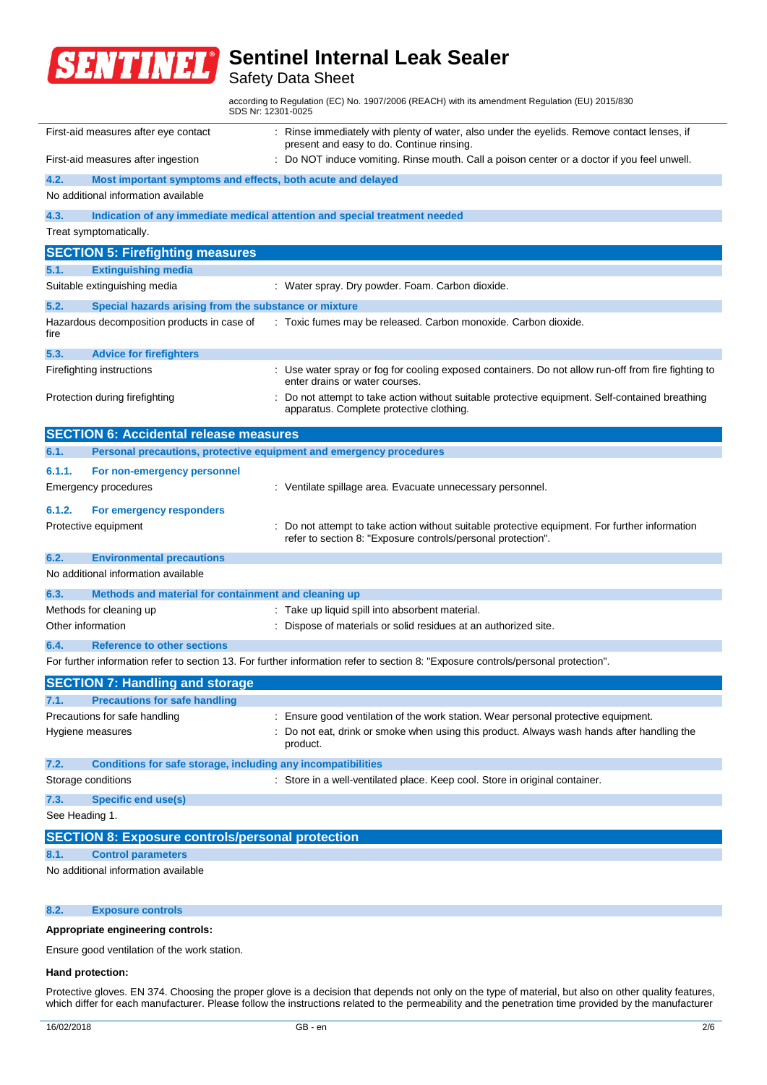

## Safety Data Sheet

according to Regulation (EC) No. 1907/2006 (REACH) with its amendment Regulation (EU) 2015/830 SDS Nr: 12301-0025

|                                                                                                                                   | First-aid measures after eye contact                                       | : Rinse immediately with plenty of water, also under the eyelids. Remove contact lenses, if<br>present and easy to do. Continue rinsing.                     |  |  |  |
|-----------------------------------------------------------------------------------------------------------------------------------|----------------------------------------------------------------------------|--------------------------------------------------------------------------------------------------------------------------------------------------------------|--|--|--|
|                                                                                                                                   | First-aid measures after ingestion                                         | Do NOT induce vomiting. Rinse mouth. Call a poison center or a doctor if you feel unwell.                                                                    |  |  |  |
| 4.2.                                                                                                                              | Most important symptoms and effects, both acute and delayed                |                                                                                                                                                              |  |  |  |
|                                                                                                                                   | No additional information available                                        |                                                                                                                                                              |  |  |  |
| 4.3.                                                                                                                              | Indication of any immediate medical attention and special treatment needed |                                                                                                                                                              |  |  |  |
|                                                                                                                                   | Treat symptomatically.                                                     |                                                                                                                                                              |  |  |  |
|                                                                                                                                   | <b>SECTION 5: Firefighting measures</b>                                    |                                                                                                                                                              |  |  |  |
| 5.1.                                                                                                                              | <b>Extinguishing media</b>                                                 |                                                                                                                                                              |  |  |  |
|                                                                                                                                   | Suitable extinguishing media                                               | : Water spray. Dry powder. Foam. Carbon dioxide.                                                                                                             |  |  |  |
| 5.2.                                                                                                                              | Special hazards arising from the substance or mixture                      |                                                                                                                                                              |  |  |  |
| fire                                                                                                                              | Hazardous decomposition products in case of                                | : Toxic fumes may be released. Carbon monoxide. Carbon dioxide.                                                                                              |  |  |  |
| 5.3.                                                                                                                              | <b>Advice for firefighters</b>                                             |                                                                                                                                                              |  |  |  |
|                                                                                                                                   | Firefighting instructions                                                  | : Use water spray or fog for cooling exposed containers. Do not allow run-off from fire fighting to<br>enter drains or water courses.                        |  |  |  |
|                                                                                                                                   | Protection during firefighting                                             | Do not attempt to take action without suitable protective equipment. Self-contained breathing<br>apparatus. Complete protective clothing.                    |  |  |  |
|                                                                                                                                   | <b>SECTION 6: Accidental release measures</b>                              |                                                                                                                                                              |  |  |  |
| 6.1.                                                                                                                              | Personal precautions, protective equipment and emergency procedures        |                                                                                                                                                              |  |  |  |
| 6.1.1.                                                                                                                            | For non-emergency personnel                                                |                                                                                                                                                              |  |  |  |
|                                                                                                                                   | <b>Emergency procedures</b>                                                | : Ventilate spillage area. Evacuate unnecessary personnel.                                                                                                   |  |  |  |
| 6.1.2.                                                                                                                            | For emergency responders                                                   |                                                                                                                                                              |  |  |  |
|                                                                                                                                   | Protective equipment                                                       | Do not attempt to take action without suitable protective equipment. For further information<br>refer to section 8: "Exposure controls/personal protection". |  |  |  |
| 6.2.                                                                                                                              | <b>Environmental precautions</b>                                           |                                                                                                                                                              |  |  |  |
|                                                                                                                                   | No additional information available                                        |                                                                                                                                                              |  |  |  |
| 6.3.                                                                                                                              | Methods and material for containment and cleaning up                       |                                                                                                                                                              |  |  |  |
|                                                                                                                                   | Methods for cleaning up                                                    | Take up liquid spill into absorbent material.                                                                                                                |  |  |  |
| Other information                                                                                                                 |                                                                            | Dispose of materials or solid residues at an authorized site.                                                                                                |  |  |  |
| 6.4.                                                                                                                              | <b>Reference to other sections</b>                                         |                                                                                                                                                              |  |  |  |
| For further information refer to section 13. For further information refer to section 8: "Exposure controls/personal protection". |                                                                            |                                                                                                                                                              |  |  |  |
|                                                                                                                                   | <b>SECTION 7: Handling and storage</b>                                     |                                                                                                                                                              |  |  |  |
|                                                                                                                                   | <b>Precautions for safe handling</b>                                       |                                                                                                                                                              |  |  |  |
|                                                                                                                                   | Precautions for safe handling                                              | : Ensure good ventilation of the work station. Wear personal protective equipment.                                                                           |  |  |  |
|                                                                                                                                   | Hygiene measures                                                           | Do not eat, drink or smoke when using this product. Always wash hands after handling the<br>product.                                                         |  |  |  |
| 7.2.                                                                                                                              | Conditions for safe storage, including any incompatibilities               |                                                                                                                                                              |  |  |  |
|                                                                                                                                   | Storage conditions                                                         | : Store in a well-ventilated place. Keep cool. Store in original container.                                                                                  |  |  |  |
| 7.3.                                                                                                                              | <b>Specific end use(s)</b>                                                 |                                                                                                                                                              |  |  |  |
| See Heading 1.                                                                                                                    |                                                                            |                                                                                                                                                              |  |  |  |
| <b>SECTION 8: Exposure controls/personal protection</b>                                                                           |                                                                            |                                                                                                                                                              |  |  |  |
| 8.1.                                                                                                                              | <b>Control parameters</b>                                                  |                                                                                                                                                              |  |  |  |
|                                                                                                                                   | No additional information available                                        |                                                                                                                                                              |  |  |  |
|                                                                                                                                   |                                                                            |                                                                                                                                                              |  |  |  |

### **8.2. Exposure controls**

### **Appropriate engineering controls:**

Ensure good ventilation of the work station.

#### **Hand protection:**

Protective gloves. EN 374. Choosing the proper glove is a decision that depends not only on the type of material, but also on other quality features, which differ for each manufacturer. Please follow the instructions related to the permeability and the penetration time provided by the manufacturer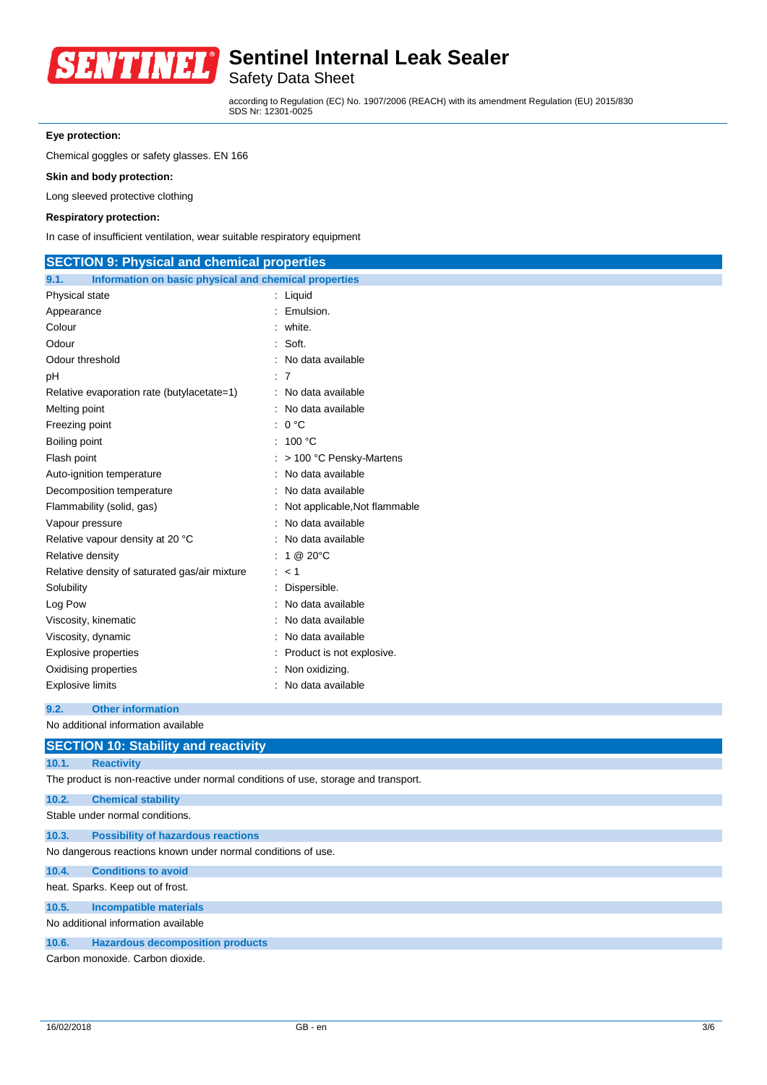

Safety Data Sheet

according to Regulation (EC) No. 1907/2006 (REACH) with its amendment Regulation (EU) 2015/830 SDS Nr: 12301-0025

## **Eye protection:**

Chemical goggles or safety glasses. EN 166

**Skin and body protection:**

Long sleeved protective clothing

### **Respiratory protection:**

In case of insufficient ventilation, wear suitable respiratory equipment

| <b>SECTION 9: Physical and chemical properties</b>            |                               |  |  |  |
|---------------------------------------------------------------|-------------------------------|--|--|--|
| Information on basic physical and chemical properties<br>9.1. |                               |  |  |  |
| Physical state                                                | $:$ Liquid                    |  |  |  |
| Appearance                                                    | Emulsion.                     |  |  |  |
| Colour                                                        | white.                        |  |  |  |
| Odour                                                         | Soft.                         |  |  |  |
| Odour threshold                                               | No data available             |  |  |  |
| рH                                                            | :7                            |  |  |  |
| Relative evaporation rate (butylacetate=1)                    | No data available             |  |  |  |
| Melting point                                                 | No data available             |  |  |  |
| Freezing point                                                | 0 °C<br>÷                     |  |  |  |
| Boiling point                                                 | : 100 °C                      |  |  |  |
| Flash point                                                   | $:$ > 100 °C Pensky-Martens   |  |  |  |
| Auto-ignition temperature                                     | No data available             |  |  |  |
| Decomposition temperature                                     | No data available             |  |  |  |
| Flammability (solid, gas)                                     | Not applicable, Not flammable |  |  |  |
| Vapour pressure                                               | No data available             |  |  |  |
| Relative vapour density at 20 °C                              | No data available             |  |  |  |
| Relative density                                              | 1 @ 20°C                      |  |  |  |
| Relative density of saturated gas/air mixture                 | $\lt$ 1                       |  |  |  |
| Solubility                                                    | Dispersible.                  |  |  |  |
| Log Pow                                                       | No data available             |  |  |  |
| Viscosity, kinematic                                          | No data available             |  |  |  |
| Viscosity, dynamic                                            | No data available             |  |  |  |
| <b>Explosive properties</b>                                   | Product is not explosive.     |  |  |  |
| Oxidising properties                                          | Non oxidizing.                |  |  |  |
| Explosive limits                                              | No data available             |  |  |  |
|                                                               |                               |  |  |  |

#### **9.2. Other information**

No additional information available

| <b>SECTION 10: Stability and reactivity</b>                                        |  |  |  |  |
|------------------------------------------------------------------------------------|--|--|--|--|
| 10.1.<br><b>Reactivity</b>                                                         |  |  |  |  |
| The product is non-reactive under normal conditions of use, storage and transport. |  |  |  |  |
| 10.2.<br><b>Chemical stability</b>                                                 |  |  |  |  |
| Stable under normal conditions.                                                    |  |  |  |  |
| <b>Possibility of hazardous reactions</b><br>10.3.                                 |  |  |  |  |
| No dangerous reactions known under normal conditions of use.                       |  |  |  |  |
| <b>Conditions to avoid</b><br>10.4.                                                |  |  |  |  |
| heat. Sparks. Keep out of frost.                                                   |  |  |  |  |
| <b>Incompatible materials</b><br>10.5.                                             |  |  |  |  |
| No additional information available                                                |  |  |  |  |
| <b>Hazardous decomposition products</b><br>10.6.                                   |  |  |  |  |
| Carbon monoxide, Carbon dioxide.                                                   |  |  |  |  |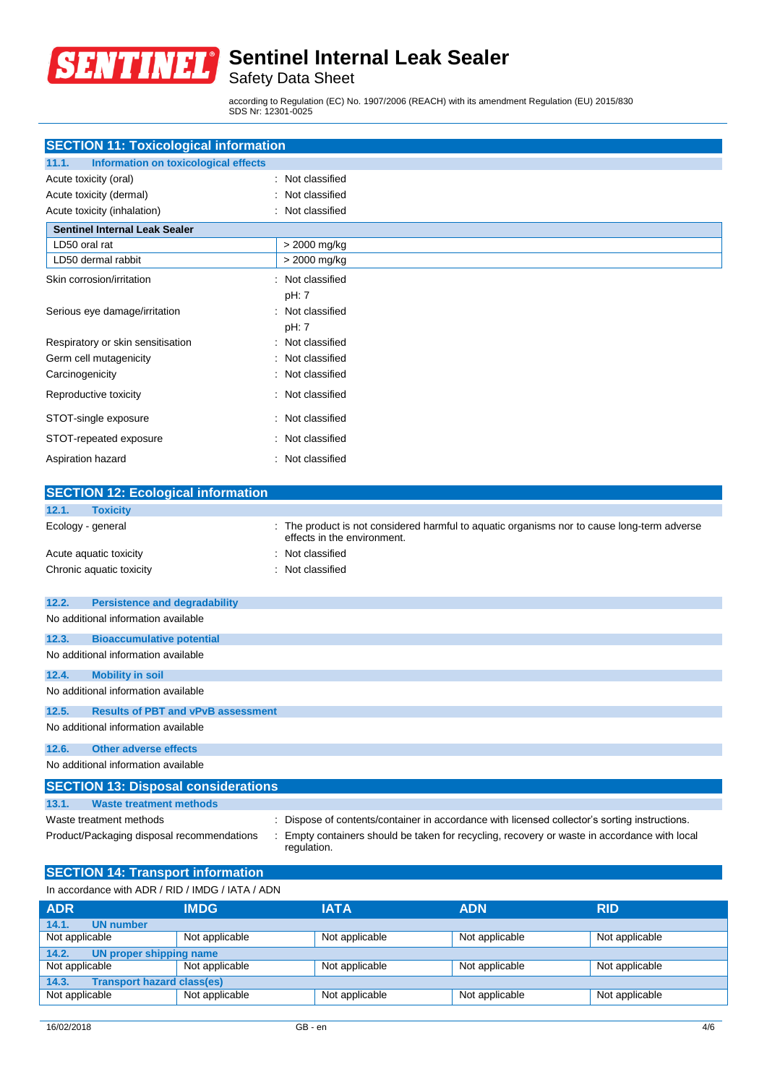

Safety Data Sheet

according to Regulation (EC) No. 1907/2006 (REACH) with its amendment Regulation (EU) 2015/830 SDS Nr: 12301-0025

| <b>SECTION 11: Toxicological information</b>  |                          |  |  |
|-----------------------------------------------|--------------------------|--|--|
| Information on toxicological effects<br>11.1. |                          |  |  |
| Acute toxicity (oral)                         | : Not classified         |  |  |
| Acute toxicity (dermal)                       | Not classified           |  |  |
| Acute toxicity (inhalation)                   | : Not classified         |  |  |
| <b>Sentinel Internal Leak Sealer</b>          |                          |  |  |
| LD50 oral rat                                 | > 2000 mg/kg             |  |  |
| LD50 dermal rabbit                            | > 2000 mg/kg             |  |  |
| Skin corrosion/irritation                     | Not classified           |  |  |
|                                               | pH: 7                    |  |  |
| Serious eye damage/irritation                 | : Not classified         |  |  |
|                                               | pH: 7                    |  |  |
| Respiratory or skin sensitisation             | Not classified           |  |  |
| Germ cell mutagenicity                        | Not classified<br>$\sim$ |  |  |
| Carcinogenicity                               | Not classified           |  |  |
| Reproductive toxicity                         | Not classified<br>÷      |  |  |
| STOT-single exposure                          | : Not classified         |  |  |
| STOT-repeated exposure                        | Not classified           |  |  |
| Aspiration hazard                             | Not classified<br>$\sim$ |  |  |
|                                               |                          |  |  |

|                   | <b>SECTION 12: Ecological information</b>                                                                                                               |  |                                                                                                                          |  |  |
|-------------------|---------------------------------------------------------------------------------------------------------------------------------------------------------|--|--------------------------------------------------------------------------------------------------------------------------|--|--|
| 12.1.             | <b>Toxicity</b>                                                                                                                                         |  |                                                                                                                          |  |  |
| Ecology - general |                                                                                                                                                         |  | The product is not considered harmful to aquatic organisms nor to cause long-term adverse<br>effects in the environment. |  |  |
|                   | Acute aquatic toxicity                                                                                                                                  |  | Not classified                                                                                                           |  |  |
|                   | Chronic aquatic toxicity                                                                                                                                |  | Not classified                                                                                                           |  |  |
| 12.2.             | <b>Persistence and degradability</b>                                                                                                                    |  |                                                                                                                          |  |  |
|                   | No additional information available                                                                                                                     |  |                                                                                                                          |  |  |
| 12.3.             | <b>Bioaccumulative potential</b>                                                                                                                        |  |                                                                                                                          |  |  |
|                   | No additional information available                                                                                                                     |  |                                                                                                                          |  |  |
| 12.4.             | <b>Mobility in soil</b>                                                                                                                                 |  |                                                                                                                          |  |  |
|                   | No additional information available                                                                                                                     |  |                                                                                                                          |  |  |
| 12.5.             | <b>Results of PBT and vPvB assessment</b>                                                                                                               |  |                                                                                                                          |  |  |
|                   | No additional information available                                                                                                                     |  |                                                                                                                          |  |  |
| 12.6.             | <b>Other adverse effects</b>                                                                                                                            |  |                                                                                                                          |  |  |
|                   | No additional information available                                                                                                                     |  |                                                                                                                          |  |  |
|                   | <b>SECTION 13: Disposal considerations</b>                                                                                                              |  |                                                                                                                          |  |  |
| 13.1.             | <b>Waste treatment methods</b>                                                                                                                          |  |                                                                                                                          |  |  |
|                   | Waste treatment methods                                                                                                                                 |  | Dispose of contents/container in accordance with licensed collector's sorting instructions.                              |  |  |
|                   | Empty containers should be taken for recycling, recovery or waste in accordance with local<br>Product/Packaging disposal recommendations<br>regulation. |  |                                                                                                                          |  |  |

## **SECTION 14: Transport information**

In accordance with ADR / RID / IMDG / IATA / ADN

| <b>ADR</b>                                 | IMDG.                   | <b>IATA</b>    | <b>ADN</b>     | <b>RID</b>     |  |
|--------------------------------------------|-------------------------|----------------|----------------|----------------|--|
| 14.1.<br><b>UN number</b>                  |                         |                |                |                |  |
| Not applicable                             | Not applicable          | Not applicable | Not applicable | Not applicable |  |
| 14.2.                                      | UN proper shipping name |                |                |                |  |
| Not applicable                             | Not applicable          | Not applicable | Not applicable | Not applicable |  |
| <b>Transport hazard class(es)</b><br>14.3. |                         |                |                |                |  |
| Not applicable                             | Not applicable          | Not applicable | Not applicable | Not applicable |  |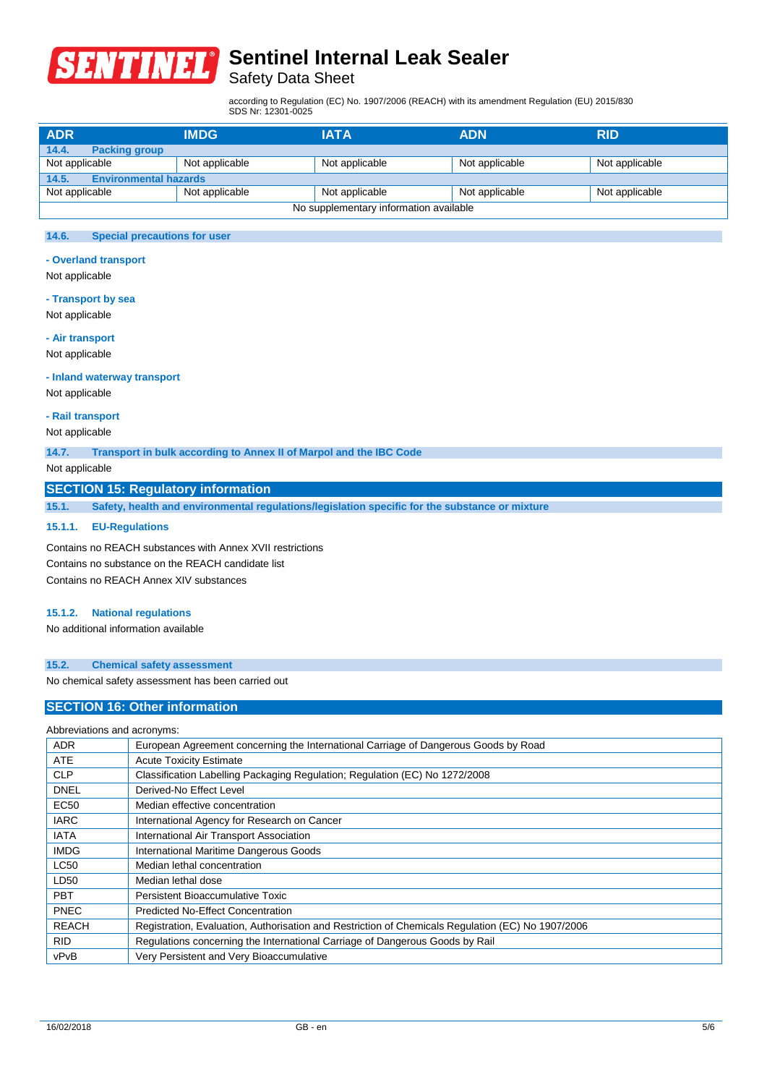

## Safety Data Sheet

according to Regulation (EC) No. 1907/2006 (REACH) with its amendment Regulation (EU) 2015/830 SDS Nr: 12301-0025

| <b>ADR</b>                    | <b>IMDG</b>                  | <b>IATA</b>                            | <b>ADN</b>     | <b>RID</b>     |  |  |
|-------------------------------|------------------------------|----------------------------------------|----------------|----------------|--|--|
| 14.4.<br><b>Packing group</b> |                              |                                        |                |                |  |  |
| Not applicable                | Not applicable               | Not applicable                         | Not applicable | Not applicable |  |  |
| 14.5.                         | <b>Environmental hazards</b> |                                        |                |                |  |  |
| Not applicable                | Not applicable               | Not applicable                         | Not applicable | Not applicable |  |  |
|                               |                              | No supplementary information available |                |                |  |  |

## **14.6. Special precautions for user**

### **- Overland transport**

Not applicable

#### **- Transport by sea**

Not applicable

#### **- Air transport**

Not applicable

#### **- Inland waterway transport**

Not applicable

### **- Rail transport**

Not applicable

**14.7. Transport in bulk according to Annex II of Marpol and the IBC Code**

## Not applicable

## **SECTION 15: Regulatory information**

**15.1. Safety, health and environmental regulations/legislation specific for the substance or mixture**

#### **15.1.1. EU-Regulations**

Contains no REACH substances with Annex XVII restrictions Contains no substance on the REACH candidate list Contains no REACH Annex XIV substances

### **15.1.2. National regulations**

No additional information available

#### **15.2. Chemical safety assessment**

No chemical safety assessment has been carried out

## **SECTION 16: Other information**

| Abbreviations and acronyms: |                                                                                                   |  |
|-----------------------------|---------------------------------------------------------------------------------------------------|--|
| <b>ADR</b>                  | European Agreement concerning the International Carriage of Dangerous Goods by Road               |  |
| <b>ATE</b>                  | <b>Acute Toxicity Estimate</b>                                                                    |  |
| <b>CLP</b>                  | Classification Labelling Packaging Regulation; Regulation (EC) No 1272/2008                       |  |
| <b>DNEL</b>                 | Derived-No Effect Level                                                                           |  |
| <b>EC50</b>                 | Median effective concentration                                                                    |  |
| <b>IARC</b>                 | International Agency for Research on Cancer                                                       |  |
| <b>IATA</b>                 | International Air Transport Association                                                           |  |
| <b>IMDG</b>                 | International Maritime Dangerous Goods                                                            |  |
| <b>LC50</b>                 | Median lethal concentration                                                                       |  |
| LD50                        | Median lethal dose                                                                                |  |
| <b>PBT</b>                  | Persistent Bioaccumulative Toxic                                                                  |  |
| <b>PNEC</b>                 | <b>Predicted No-Effect Concentration</b>                                                          |  |
| <b>REACH</b>                | Registration, Evaluation, Authorisation and Restriction of Chemicals Regulation (EC) No 1907/2006 |  |
| <b>RID</b>                  | Regulations concerning the International Carriage of Dangerous Goods by Rail                      |  |
| vPvB                        | Very Persistent and Very Bioaccumulative                                                          |  |